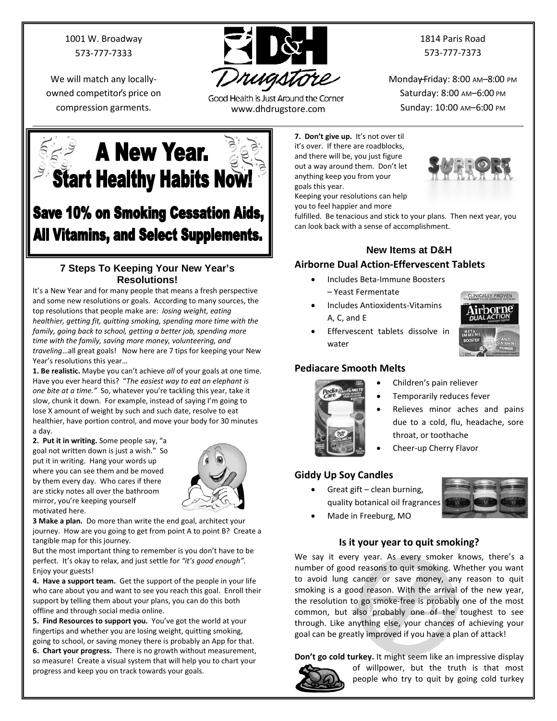1001 W. Broadway 573-777-7333

We will match any locallyowned competitor's price on



Good Health is Just Around the Corner compression garments. www.dhdrugstore.com

1814 Paris Road 573-777-7373

Monday-Friday: 8:00 AM-8:00 PM Saturday: 8:00 AM–6:00 PM Sunday: 10:00 AM–6:00 PM

**EXAMELY Year. Start Healthy Habits Now!** 

## **Save 10% on Smoking Cessation Aids, All Vitamins, and Select Supplements.**

#### **7 Steps To Keeping Your New Year's Resolutions!**

It's a New Year and for many people that means a fresh perspective and some new resolutions or goals. According to many sources, the top resolutions that people make are: *losing weight, eating healthier, getting fit, quitting smoking, spending more time with the family, going back to school, getting a better job, spending more time with the family, saving more money, volunteering, and traveling*…all great goals! Now here are 7 tips for keeping your New Year's resolutions this year…

**1. Be realistic.** Maybe you can't achieve *all* of your goals at one time. Have you ever heard this? "*The easiest way to eat an elephant is one bite at a time."* So, whatever you're tackling this year, take it slow, chunk it down. For example, instead of saying I'm going to lose X amount of weight by such and such date, resolve to eat healthier, have portion control, and move your body for 30 minutes a day.

**2. Put it in writing.** Some people say, "a goal not written down is just a wish." So put it in writing. Hang your words up where you can see them and be moved by them every day. Who cares if there are sticky notes all over the bathroom mirror, you're keeping yourself motivated here.



**3 Make a plan.** Do more than write the end goal, architect your journey. How are you going to get from point A to point B? Create a tangible map for this journey.

But the most important thing to remember is you don't have to be perfect. It's okay to relax, and just settle for *"it's good enough"*. Enjoy your guests!

**4. Have a support team.** Get the support of the people in your life who care about you and want to see you reach this goal. Enroll their support by telling them about your plans, you can do this both offline and through social media online.

**5. Find Resources to support you.** You've got the world at your fingertips and whether you are losing weight, quitting smoking, going to school, or saving money there is probably an App for that.

**6. Chart your progress.** There is no growth without measurement, so measure! Create a visual system that will help you to chart your progress and keep you on track towards your goals.

**7. Don't give up.** It's not over til it's over. If there are roadblocks, and there will be, you just figure out a way around them. Don't let anything keep you from your goals this year.



Keeping your resolutions can help you to feel happier and more

fulfilled. Be tenacious and stick to your plans. Then next year, you can look back with a sense of accomplishment.

### **New Items at D&H**

#### **Airborne Dual Action-Effervescent Tablets**

- Includes Beta-Immune Boosters
	- Yeast Fermentate
- Includes Antioxidents-Vitamins A, C, and E



• Effervescent tablets dissolve in water

#### **Pediacare Smooth Melts**



- Children's pain reliever
- Temporarily reduces fever
- Relieves minor aches and pains due to a cold, flu, headache, sore throat, or toothache
- Cheer-up Cherry Flavor

#### **Giddy Up Soy Candles**

• Great gift – clean burning, quality botanical oil fragrances



• Made in Freeburg, MO

#### **Is it your year to quit smoking?**

We say it every year. As every smoker knows, there's a number of good reasons to quit smoking. Whether you want to avoid lung cancer or save money, any reason to quit smoking is a good reason. With the arrival of the new year, the resolution to go smoke-free is probably one of the most common, but also probably one of the toughest to see through. Like anything else, your chances of achieving your goal can be greatly improved if you have a plan of attack!

**Don't go cold turkey.** It might seem like an impressive display



of willpower, but the truth is that most people who try to quit by going cold turkey